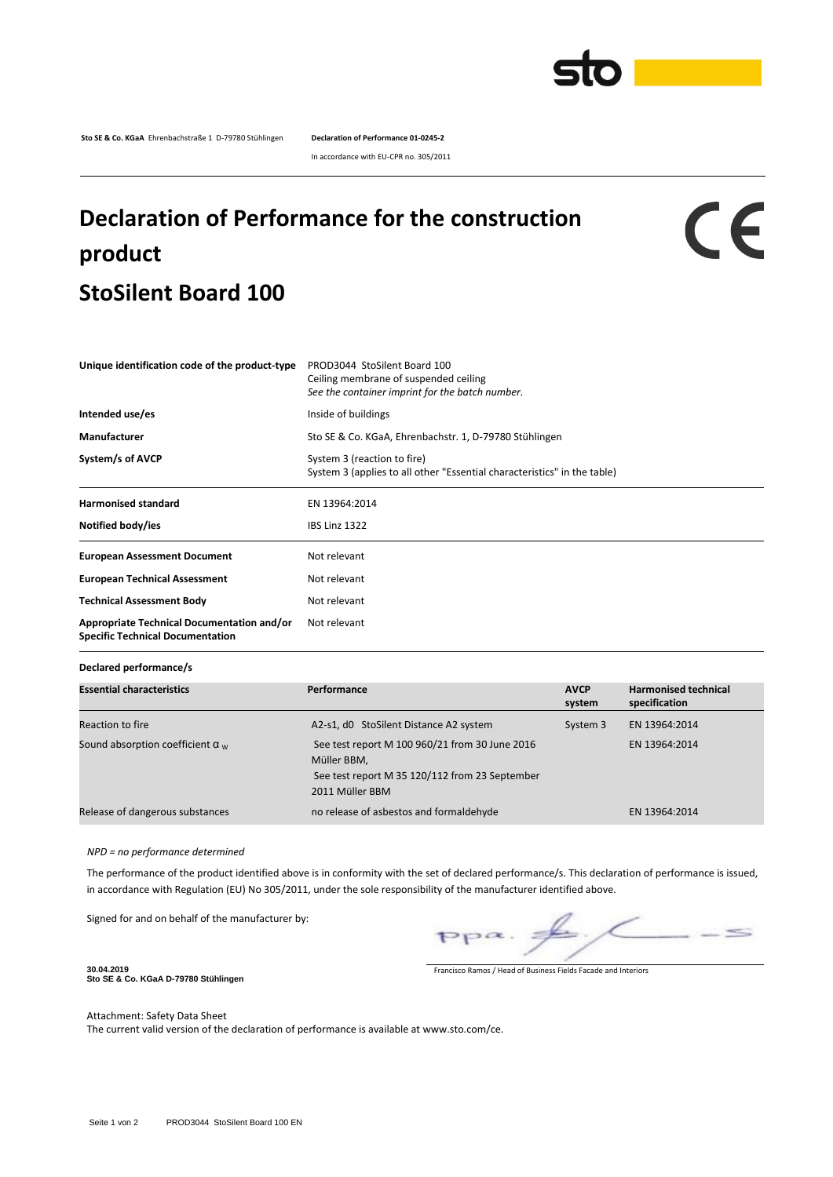

**Sto SE & Co. KGaA** Ehrenbachstraße 1 D-79780 Stühlingen **Declaration of Performance 01-0245-2**

In accordance with EU-CPR no. 305/2011

## **Declaration of Performance for the construction product StoSilent Board 100**

## CE

| Unique identification code of the product-type                                        | PROD3044 StoSilent Board 100<br>Ceiling membrane of suspended ceiling<br>See the container imprint for the batch number. |  |  |  |
|---------------------------------------------------------------------------------------|--------------------------------------------------------------------------------------------------------------------------|--|--|--|
| Intended use/es                                                                       | Inside of buildings                                                                                                      |  |  |  |
| <b>Manufacturer</b>                                                                   | Sto SE & Co. KGaA, Ehrenbachstr. 1, D-79780 Stühlingen                                                                   |  |  |  |
| System/s of AVCP                                                                      | System 3 (reaction to fire)<br>System 3 (applies to all other "Essential characteristics" in the table)                  |  |  |  |
| <b>Harmonised standard</b>                                                            | EN 13964:2014                                                                                                            |  |  |  |
| Notified body/ies                                                                     | <b>IBS Linz 1322</b>                                                                                                     |  |  |  |
| <b>European Assessment Document</b>                                                   | Not relevant                                                                                                             |  |  |  |
| <b>European Technical Assessment</b>                                                  | Not relevant                                                                                                             |  |  |  |
| <b>Technical Assessment Body</b>                                                      | Not relevant                                                                                                             |  |  |  |
| Appropriate Technical Documentation and/or<br><b>Specific Technical Documentation</b> | Not relevant                                                                                                             |  |  |  |

**Declared performance/s**

| <b>Essential characteristics</b>        | Performance                                                                                                                        | <b>AVCP</b><br>system | <b>Harmonised technical</b><br>specification |
|-----------------------------------------|------------------------------------------------------------------------------------------------------------------------------------|-----------------------|----------------------------------------------|
| Reaction to fire                        | A2-s1, d0 StoSilent Distance A2 system                                                                                             | System 3              | EN 13964:2014                                |
| Sound absorption coefficient $\alpha_w$ | See test report M 100 960/21 from 30 June 2016<br>Müller BBM,<br>See test report M 35 120/112 from 23 September<br>2011 Müller BBM |                       | EN 13964:2014                                |
| Release of dangerous substances         | no release of asbestos and formaldehyde                                                                                            |                       | EN 13964:2014                                |

*NPD = no performance determined*

The performance of the product identified above is in conformity with the set of declared performance/s. This declaration of performance is issued, in accordance with Regulation (EU) No 305/2011, under the sole responsibility of the manufacturer identified above.

Signed for and on behalf of the manufacturer by:

 $\leq$  $PP^{\alpha}$ .

**30.04.2019 Sto SE & Co. KGaA D-79780 Stühlingen**

Francisco Ramos / Head of Business Fields Facade and Interiors

Attachment: Safety Data Sheet

The current valid version of the declaration of performance is available at www.sto.com/ce.